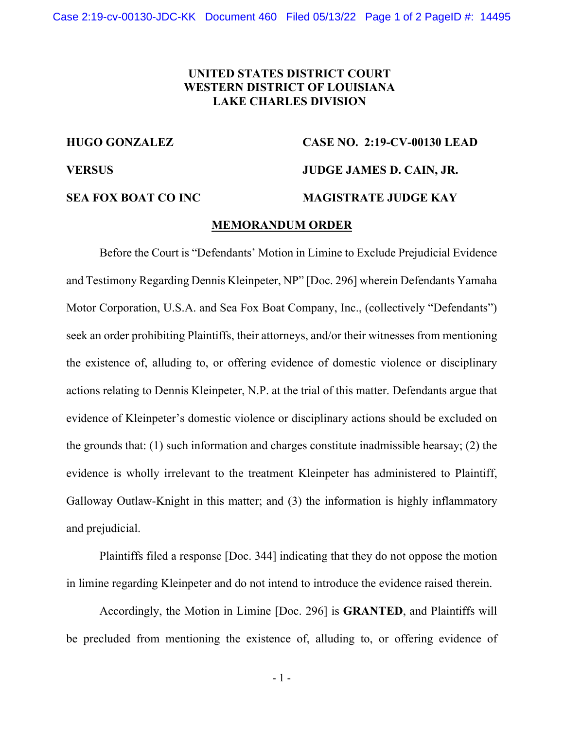## **UNITED STATES DISTRICT COURT WESTERN DISTRICT OF LOUISIANA LAKE CHARLES DIVISION**

# **HUGO GONZALEZ CASE NO. 2:19-CV-00130 LEAD VERSUS JUDGE JAMES D. CAIN, JR. SEA FOX BOAT CO INC MAGISTRATE JUDGE KAY**

### **MEMORANDUM ORDER**

Before the Court is "Defendants' Motion in Limine to Exclude Prejudicial Evidence and Testimony Regarding Dennis Kleinpeter, NP" [Doc. 296] wherein Defendants Yamaha Motor Corporation, U.S.A. and Sea Fox Boat Company, Inc., (collectively "Defendants") seek an order prohibiting Plaintiffs, their attorneys, and/or their witnesses from mentioning the existence of, alluding to, or offering evidence of domestic violence or disciplinary actions relating to Dennis Kleinpeter, N.P. at the trial of this matter. Defendants argue that evidence of Kleinpeter's domestic violence or disciplinary actions should be excluded on the grounds that: (1) such information and charges constitute inadmissible hearsay; (2) the evidence is wholly irrelevant to the treatment Kleinpeter has administered to Plaintiff, Galloway Outlaw-Knight in this matter; and (3) the information is highly inflammatory and prejudicial.

Plaintiffs filed a response [Doc. 344] indicating that they do not oppose the motion in limine regarding Kleinpeter and do not intend to introduce the evidence raised therein.

Accordingly, the Motion in Limine [Doc. 296] is **GRANTED**, and Plaintiffs will be precluded from mentioning the existence of, alluding to, or offering evidence of

- 1 -